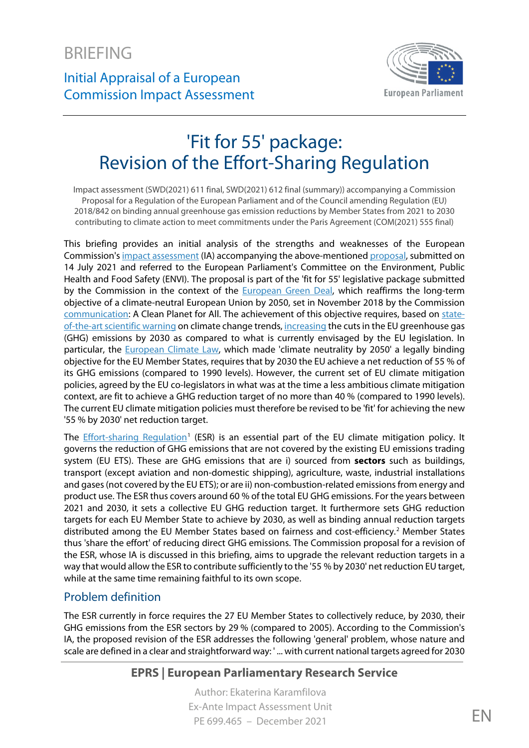Initial Appraisal of a European Commission Impact Assessment



# 'Fit for 55' package: Revision of the Effort-Sharing Regulation

Impact assessment (SWD(2021) 611 final, SWD(2021) 612 final (summary)) accompanying a Commission Proposal for a Regulation of the European Parliament and of the Council amending Regulation (EU) 2018/842 on binding annual greenhouse gas emission reductions by Member States from 2021 to 2030 contributing to climate action to meet commitments under the Paris Agreement (COM(2021) 555 final)

This briefing provides an initial analysis of the strengths and weaknesses of the European Commission'[s impact assessment](https://eur-lex.europa.eu/legal-content/EN/TXT/?uri=CELEX%3A52021SC0611&qid=1534063126489) (IA) accompanying the above-mentione[d proposal,](https://eur-lex.europa.eu/legal-content/EN/ALL/?uri=COM:2021:555:FIN) submitted on 14 July 2021 and referred to the European Parliament's Committee on the Environment, Public Health and Food Safety (ENVI). The proposal is part of the 'fit for 55' legislative package submitted by the Commission in the context of the [European Green Deal,](https://eur-lex.europa.eu/legal-content/EN/TXT/?uri=COM%3A2019%3A640%3AFIN) which reaffirms the long-term objective of a climate-neutral European Union by 2050, set in November 2018 by the Commission [communication:](https://eur-lex.europa.eu/legal-content/EN/TXT/?uri=CELEX%3A52018DC0773) A Clean Planet for All. The achievement of this objective requires, based on [state](https://www.ipcc.ch/sr15/)[of-the-art scientific warning](https://www.ipcc.ch/sr15/) on climate change trends[, increasing](https://eur-lex.europa.eu/legal-content/EN/TXT/?uri=COM:2020:562:FIN) the cuts in the EU greenhouse gas (GHG) emissions by 2030 as compared to what is currently envisaged by the EU legislation. In particular, the **European Climate Law**, which made 'climate neutrality by 2050' a legally binding objective for the EU Member States, requires that by 2030 the EU achieve a net reduction of 55 % of its GHG emissions (compared to 1990 levels). However, the current set of EU climate mitigation policies, agreed by the EU co-legislators in what was at the time a less ambitious climate mitigation context, are fit to achieve a GHG reduction target of no more than 40 % (compared to 1990 levels). The current EU climate mitigation policies must therefore be revised to be 'fit' for achieving the new '55 % by 2030' net reduction target.

The **Effort-sharing Regulation<sup>[1](#page-7-0)</sup>** (ESR) is an essential part of the EU climate mitigation policy. It governs the reduction of GHG emissions that are not covered by the existing EU emissions trading system (EU ETS). These are GHG emissions that are i) sourced from **sectors** such as buildings, transport (except aviation and non-domestic shipping), agriculture, waste, industrial installations and gases(not covered by the EU ETS); or are ii) non-combustion-related emissions from energy and product use. The ESR thus covers around 60 % of the total EU GHG emissions. For the years between 2021 and 2030, it sets a collective EU GHG reduction target. It furthermore sets GHG reduction targets for each EU Member State to achieve by 2030, as well as binding annual reduction targets distributed among the EU Member States based on fairness and cost-efficiency. [2](#page-7-1) Member States thus 'share the effort' of reducing direct GHG emissions. The Commission proposal for a revision of the ESR, whose IA is discussed in this briefing, aims to upgrade the relevant reduction targets in a way that would allow the ESR to contribute sufficiently to the '55 % by 2030' net reduction EU target, while at the same time remaining faithful to its own scope.

# Problem definition

The ESR currently in force requires the 27 EU Member States to collectively reduce, by 2030, their GHG emissions from the ESR sectors by 29 % (compared to 2005). According to the Commission's IA, the proposed revision of the ESR addresses the following 'general' problem, whose nature and scale are defined in a clear and straightforward way: ' ... with current national targets agreed for 2030

# **EPRS | European Parliamentary Research Service**

Author: Ekaterina Karamfilova Ex-Ante Impact Assessment Unit PE 699.465 – December 2021 EN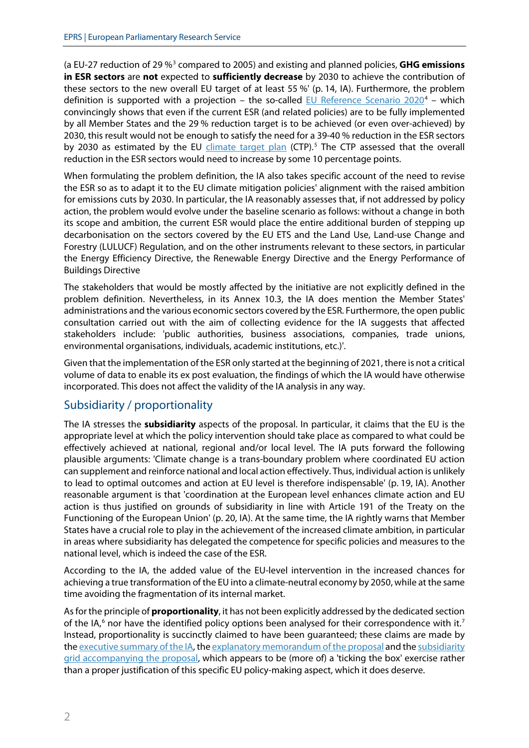(a EU-27 reduction of 29 %[3](#page-7-2) compared to 2005) and existing and planned policies, **GHG emissions in ESR sectors** are **not** expected to **sufficiently decrease** by 2030 to achieve the contribution of these sectors to the new overall EU target of at least 55 %' (p. 14, IA). Furthermore, the problem definition is supported with a projection – the so-called  $EU$  Reference Scenario 2020<sup>[4](#page-7-3)</sup> – which convincingly shows that even if the current ESR (and related policies) are to be fully implemented by all Member States and the 29 % reduction target is to be achieved (or even over-achieved) by 2030, this result would not be enough to satisfy the need for a 39-40 % reduction in the ESR sectors by 2030 as estimated by the EU [climate target plan](https://eur-lex.europa.eu/legal-content/EN/TXT/?uri=COM:2020:562:FIN) (CTP).<sup>[5](#page-7-4)</sup> The CTP assessed that the overall reduction in the ESR sectors would need to increase by some 10 percentage points.

When formulating the problem definition, the IA also takes specific account of the need to revise the ESR so as to adapt it to the EU climate mitigation policies' alignment with the raised ambition for emissions cuts by 2030. In particular, the IA reasonably assesses that, if not addressed by policy action, the problem would evolve under the baseline scenario as follows: without a change in both its scope and ambition, the current ESR would place the entire additional burden of stepping up decarbonisation on the sectors covered by the EU ETS and the Land Use, Land-use Change and Forestry (LULUCF) Regulation, and on the other instruments relevant to these sectors, in particular the Energy Efficiency Directive, the Renewable Energy Directive and the Energy Performance of Buildings Directive

The stakeholders that would be mostly affected by the initiative are not explicitly defined in the problem definition. Nevertheless, in its Annex 10.3, the IA does mention the Member States' administrations and the various economic sectors covered by the ESR. Furthermore, the open public consultation carried out with the aim of collecting evidence for the IA suggests that affected stakeholders include: 'public authorities, business associations, companies, trade unions, environmental organisations, individuals, academic institutions, etc.)'.

Given that the implementation of the ESR only started at the beginning of 2021, there is not a critical volume of data to enable its ex post evaluation, the findings of which the IA would have otherwise incorporated. This does not affect the validity of the IA analysis in any way.

## Subsidiarity / proportionality

The IA stresses the **subsidiarity** aspects of the proposal. In particular, it claims that the EU is the appropriate level at which the policy intervention should take place as compared to what could be effectively achieved at national, regional and/or local level. The IA puts forward the following plausible arguments: 'Climate change is a trans-boundary problem where coordinated EU action can supplement and reinforce national and local action effectively. Thus, individual action is unlikely to lead to optimal outcomes and action at EU level is therefore indispensable' (p. 19, IA). Another reasonable argument is that 'coordination at the European level enhances climate action and EU action is thus justified on grounds of subsidiarity in line with Article 191 of the Treaty on the Functioning of the European Union' (p. 20, IA). At the same time, the IA rightly warns that Member States have a crucial role to play in the achievement of the increased climate ambition, in particular in areas where subsidiarity has delegated the competence for specific policies and measures to the national level, which is indeed the case of the ESR.

According to the IA, the added value of the EU-level intervention in the increased chances for achieving a true transformation of the EU into a climate-neutral economy by 2050, while at the same time avoiding the fragmentation of its internal market.

As for the principle of **proportionality**, it has not been explicitly addressed by the dedicated section of the IA, $6$  nor have the identified policy options been analysed for their correspondence with it.<sup>[7](#page-7-6)</sup> Instead, proportionality is succinctly claimed to have been guaranteed; these claims are made by the [executive summary of the IA,](https://eur-lex.europa.eu/legal-content/EN/ALL/?uri=SWD:2021:612:FIN) th[e explanatory memorandum of the](https://eur-lex.europa.eu/legal-content/EN/TXT/?uri=celex%3A52021PC0555) proposal and th[e subsidiarity](https://eur-lex.europa.eu/legal-content/EN/TXT/?uri=CELEX%3A52021SC0553&qid=1627570475108)  [grid accompanying the proposal,](https://eur-lex.europa.eu/legal-content/EN/TXT/?uri=CELEX%3A52021SC0553&qid=1627570475108) which appears to be (more of) a 'ticking the box' exercise rather than a proper justification of this specific EU policy-making aspect, which it does deserve.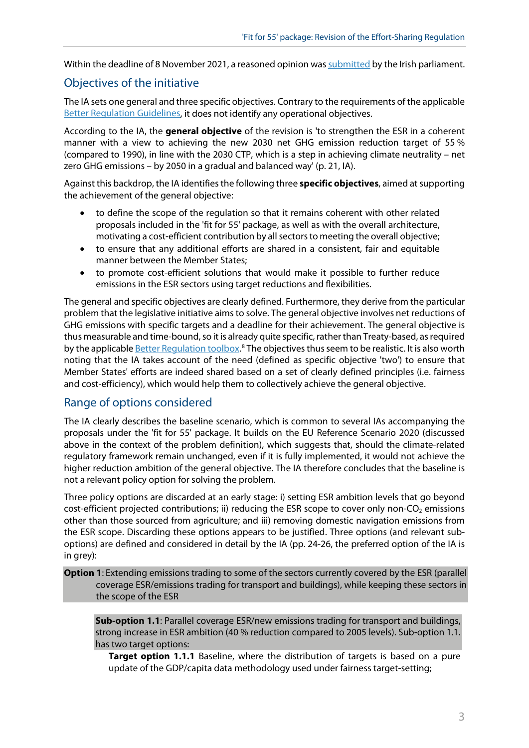Within the deadline of 8 November 2021, a reasoned opinion was submitted by the Irish parliament.

## Objectives of the initiative

The IA sets one general and three specific objectives. Contrary to the requirements of the applicable [Better Regulation Guidelines,](https://ec.europa.eu/info/sites/default/files/better-regulation-guidelines.pdf) it does not identify any operational objectives.

According to the IA, the **general objective** of the revision is 'to strengthen the ESR in a coherent manner with a view to achieving the new 2030 net GHG emission reduction target of 55 % (compared to 1990), in line with the 2030 CTP, which is a step in achieving climate neutrality – net zero GHG emissions – by 2050 in a gradual and balanced way' (p. 21, IA).

Against this backdrop, the IA identifiesthe following three **specific objectives**, aimed at supporting the achievement of the general objective:

- to define the scope of the regulation so that it remains coherent with other related proposals included in the 'fit for 55' package, as well as with the overall architecture, motivating a cost-efficient contribution by all sectors to meeting the overall objective;
- to ensure that any additional efforts are shared in a consistent, fair and equitable manner between the Member States;
- to promote cost-efficient solutions that would make it possible to further reduce emissions in the ESR sectors using target reductions and flexibilities.

The general and specific objectives are clearly defined. Furthermore, they derive from the particular problem that the legislative initiative aims to solve. The general objective involves net reductions of GHG emissions with specific targets and a deadline for their achievement. The general objective is thus measurable and time-bound, so it is already quite specific, rather than Treaty-based, as required by the applicable **[Better Regulation](https://ec.europa.eu/info/sites/default/files/file_import/better-regulation-toolbox-16_en_0.pdf) toolbox.**<sup>[8](#page-7-7)</sup> The objectives thus seem to be realistic. It is also worth noting that the IA takes account of the need (defined as specific objective 'two') to ensure that Member States' efforts are indeed shared based on a set of clearly defined principles (i.e. fairness and cost-efficiency), which would help them to collectively achieve the general objective.

## Range of options considered

The IA clearly describes the baseline scenario, which is common to several IAs accompanying the proposals under the 'fit for 55' package. It builds on the EU Reference Scenario 2020 (discussed above in the context of the problem definition), which suggests that, should the climate-related regulatory framework remain unchanged, even if it is fully implemented, it would not achieve the higher reduction ambition of the general objective. The IA therefore concludes that the baseline is not a relevant policy option for solving the problem.

Three policy options are discarded at an early stage: i) setting ESR ambition levels that go beyond cost-efficient projected contributions; ii) reducing the ESR scope to cover only non-CO<sub>2</sub> emissions other than those sourced from agriculture; and iii) removing domestic navigation emissions from the ESR scope. Discarding these options appears to be justified. Three options (and relevant suboptions) are defined and considered in detail by the IA (pp. 24-26, the preferred option of the IA is in grey):

**Option 1**: Extending emissions trading to some of the sectors currently covered by the ESR (parallel coverage ESR/emissions trading for transport and buildings), while keeping these sectors in the scope of the ESR

**Sub-option 1.1**: Parallel coverage ESR/new emissions trading for transport and buildings, strong increase in ESR ambition (40 % reduction compared to 2005 levels). Sub-option 1.1. has two target options:

**Target option 1.1.1** Baseline, where the distribution of targets is based on a pure update of the GDP/capita data methodology used under fairness target-setting;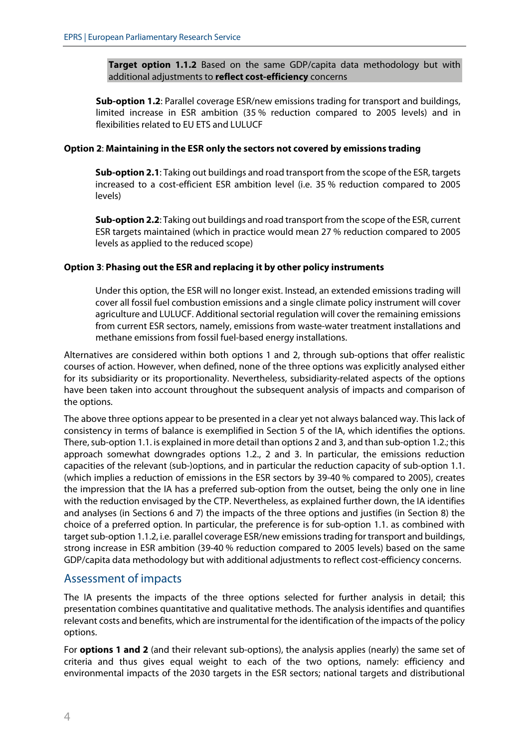**Target option 1.1.2** Based on the same GDP/capita data methodology but with additional adjustments to **reflect cost-efficiency** concerns

**Sub-option 1.2**: Parallel coverage ESR/new emissions trading for transport and buildings, limited increase in ESR ambition (35 % reduction compared to 2005 levels) and in flexibilities related to EU ETS and LULUCF

#### **Option 2**: **Maintaining in the ESR only the sectors not covered by emissions trading**

**Sub-option 2.1**: Taking out buildings and road transport from the scope of the ESR, targets increased to a cost-efficient ESR ambition level (i.e. 35 % reduction compared to 2005 levels)

**Sub-option 2.2**: Taking out buildings and road transport from the scope of the ESR, current ESR targets maintained (which in practice would mean 27 % reduction compared to 2005 levels as applied to the reduced scope)

#### **Option 3**: **Phasing out the ESR and replacing it by other policy instruments**

Under this option, the ESR will no longer exist. Instead, an extended emissions trading will cover all fossil fuel combustion emissions and a single climate policy instrument will cover agriculture and LULUCF. Additional sectorial regulation will cover the remaining emissions from current ESR sectors, namely, emissions from waste-water treatment installations and methane emissions from fossil fuel-based energy installations.

Alternatives are considered within both options 1 and 2, through sub-options that offer realistic courses of action. However, when defined, none of the three options was explicitly analysed either for its subsidiarity or its proportionality. Nevertheless, subsidiarity-related aspects of the options have been taken into account throughout the subsequent analysis of impacts and comparison of the options.

The above three options appear to be presented in a clear yet not always balanced way. This lack of consistency in terms of balance is exemplified in Section 5 of the IA, which identifies the options. There, sub-option 1.1. is explained in more detail than options 2 and 3, and than sub-option 1.2.; this approach somewhat downgrades options 1.2., 2 and 3. In particular, the emissions reduction capacities of the relevant (sub-)options, and in particular the reduction capacity of sub-option 1.1. (which implies a reduction of emissions in the ESR sectors by 39-40 % compared to 2005), creates the impression that the IA has a preferred sub-option from the outset, being the only one in line with the reduction envisaged by the CTP. Nevertheless, as explained further down, the IA identifies and analyses (in Sections 6 and 7) the impacts of the three options and justifies (in Section 8) the choice of a preferred option. In particular, the preference is for sub-option 1.1. as combined with target sub-option 1.1.2, i.e. parallel coverage ESR/new emissionstrading for transport and buildings, strong increase in ESR ambition (39-40 % reduction compared to 2005 levels) based on the same GDP/capita data methodology but with additional adjustments to reflect cost-efficiency concerns.

#### Assessment of impacts

The IA presents the impacts of the three options selected for further analysis in detail; this presentation combines quantitative and qualitative methods. The analysis identifies and quantifies relevant costs and benefits, which are instrumental for the identification of the impacts of the policy options.

For **options 1 and 2** (and their relevant sub-options), the analysis applies (nearly) the same set of criteria and thus gives equal weight to each of the two options, namely: efficiency and environmental impacts of the 2030 targets in the ESR sectors; national targets and distributional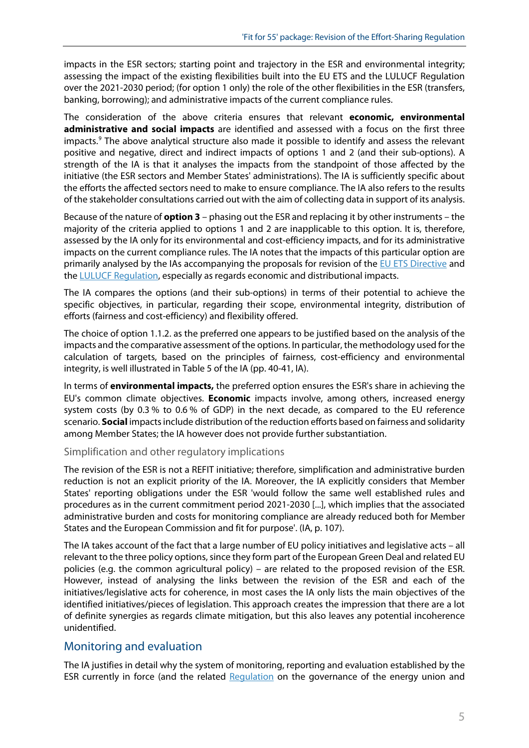impacts in the ESR sectors; starting point and trajectory in the ESR and environmental integrity; assessing the impact of the existing flexibilities built into the EU ETS and the LULUCF Regulation over the 2021-2030 period; (for option 1 only) the role of the other flexibilities in the ESR (transfers, banking, borrowing); and administrative impacts of the current compliance rules.

The consideration of the above criteria ensures that relevant **economic, environmental administrative and social impacts** are identified and assessed with a focus on the first three impacts.<sup>[9](#page-7-8)</sup> The above analytical structure also made it possible to identify and assess the relevant positive and negative, direct and indirect impacts of options 1 and 2 (and their sub-options). A strength of the IA is that it analyses the impacts from the standpoint of those affected by the initiative (the ESR sectors and Member States' administrations). The IA is sufficiently specific about the efforts the affected sectors need to make to ensure compliance. The IA also refers to the results of the stakeholder consultations carried out with the aim of collecting data in support of its analysis.

Because of the nature of **option 3** – phasing out the ESR and replacing it by other instruments – the majority of the criteria applied to options 1 and 2 are inapplicable to this option. It is, therefore, assessed by the IA only for its environmental and cost-efficiency impacts, and for its administrative impacts on the current compliance rules. The IA notes that the impacts of this particular option are primarily analysed by the IAs accompanying the proposals for revision of the [EU ETS Directive](https://eur-lex.europa.eu/legal-content/EN/TXT/?uri=CELEX:52021SC0601) and th[e LULUCF Regulation,](https://eur-lex.europa.eu/legal-content/EN/ALL/?uri=SWD:2021:609:FIN) especially as regards economic and distributional impacts.

The IA compares the options (and their sub-options) in terms of their potential to achieve the specific objectives, in particular, regarding their scope, environmental integrity, distribution of efforts (fairness and cost-efficiency) and flexibility offered.

The choice of option 1.1.2. as the preferred one appears to be justified based on the analysis of the impacts and the comparative assessment of the options. In particular, the methodology used for the calculation of targets, based on the principles of fairness, cost-efficiency and environmental integrity, is well illustrated in Table 5 of the IA (pp. 40-41, IA).

In terms of **environmental impacts,** the preferred option ensures the ESR's share in achieving the EU's common climate objectives. **Economic** impacts involve, among others, increased energy system costs (by 0.3 % to 0.6 % of GDP) in the next decade, as compared to the EU reference scenario. **Social** impacts include distribution of the reduction efforts based on fairness and solidarity among Member States; the IA however does not provide further substantiation.

#### Simplification and other regulatory implications

The revision of the ESR is not a REFIT initiative; therefore, simplification and administrative burden reduction is not an explicit priority of the IA. Moreover, the IA explicitly considers that Member States' reporting obligations under the ESR 'would follow the same well established rules and procedures as in the current commitment period 2021-2030 [...], which implies that the associated administrative burden and costs for monitoring compliance are already reduced both for Member States and the European Commission and fit for purpose'. (IA, p. 107).

The IA takes account of the fact that a large number of EU policy initiatives and legislative acts – all relevant to the three policy options, since they form part of the European Green Deal and related EU policies (e.g. the common agricultural policy) – are related to the proposed revision of the ESR. However, instead of analysing the links between the revision of the ESR and each of the initiatives/legislative acts for coherence, in most cases the IA only lists the main objectives of the identified initiatives/pieces of legislation. This approach creates the impression that there are a lot of definite synergies as regards climate mitigation, but this also leaves any potential incoherence unidentified.

#### Monitoring and evaluation

The IA justifies in detail why the system of monitoring, reporting and evaluation established by the ESR currently in force (and the related [Regulation](https://eur-lex.europa.eu/legal-content/EN/TXT/?uri=uriserv%3AOJ.L_.2018.328.01.0001.01.ENG) on the governance of the energy union and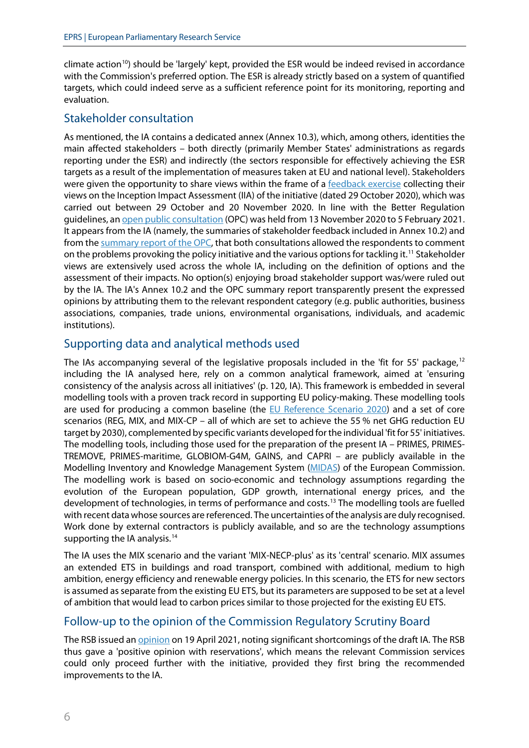climate action<sup>[10](#page-7-9)</sup>) should be 'largely' kept, provided the ESR would be indeed revised in accordance with the Commission's preferred option. The ESR is already strictly based on a system of quantified targets, which could indeed serve as a sufficient reference point for its monitoring, reporting and evaluation.

## Stakeholder consultation

As mentioned, the IA contains a dedicated annex (Annex 10.3), which, among others, identities the main affected stakeholders – both directly (primarily Member States' administrations as regards reporting under the ESR) and indirectly (the sectors responsible for effectively achieving the ESR targets as a result of the implementation of measures taken at EU and national level). Stakeholders were given the opportunity to share views within the frame of a [feedback exercise](https://ec.europa.eu/info/law/better-regulation/have-your-say/initiatives/12656-National-emissions-reduction-targets-Effort-Sharing-Regulation-review-based-on-2030-climate-target-plan_en) collecting their views on the Inception Impact Assessment (IIA) of the initiative (dated 29 October 2020), which was carried out between 29 October and 20 November 2020. In line with the Better Regulation guidelines, a[n open public consultation](https://ec.europa.eu/info/law/better-regulation/have-your-say/initiatives/12656-National-emissions-reduction-targets-Effort-Sharing-Regulation-review-based-on-2030-climate-target-plan_en) (OPC) was held from 13 November 2020 to 5 February 2021. It appears from the IA (namely, the summaries of stakeholder feedback included in Annex 10.2) and from th[e summary report of the OPC,](https://ec.europa.eu/info/law/better-regulation/have-your-say/initiatives/12656-Updating-Member-State-emissions-reduction-targets-Effort-Sharing-Regulation-in-line-with-the-2030-climate-target-plan/public-consultation_en) that both consultations allowed the respondents to comment on the problems provoking the policy initiative and the various options for tackling it.<sup>[11](#page-7-10)</sup> Stakeholder views are extensively used across the whole IA, including on the definition of options and the assessment of their impacts. No option(s) enjoying broad stakeholder support was/were ruled out by the IA. The IA's Annex 10.2 and the OPC summary report transparently present the expressed opinions by attributing them to the relevant respondent category (e.g. public authorities, business associations, companies, trade unions, environmental organisations, individuals, and academic institutions).

## Supporting data and analytical methods used

The IAs accompanying several of the legislative proposals included in the 'fit for 55' package,<sup>[12](#page-7-11)</sup> including the IA analysed here, rely on a common analytical framework, aimed at 'ensuring consistency of the analysis across all initiatives' (p. 120, IA). This framework is embedded in several modelling tools with a proven track record in supporting EU policy-making. These modelling tools are used for producing a common baseline [\(the EU Reference Scenario 2020\)](https://ec.europa.eu/energy/data-analysis/energy-modelling/eu-reference-scenario-2020_en) and a set of core scenarios (REG, MIX, and MIX-CP – all of which are set to achieve the 55 % net GHG reduction EU target by 2030), complemented by specific variants developed for the individual 'fit for 55' initiatives. The modelling tools, including those used for the preparation of the present IA – PRIMES, PRIMES-TREMOVE, PRIMES-maritime, GLOBIOM-G4M, GAINS, and CAPRI – are publicly available in the Modelling Inventory and Knowledge Management System [\(MIDAS\)](https://web.jrc.ec.europa.eu/policy-model-inventory/) of the European Commission. The modelling work is based on socio-economic and technology assumptions regarding the evolution of the European population, GDP growth, international energy prices, and the development of technologies, in terms of performance and costs. [13](#page-7-12) The modelling tools are fuelled with recent data whose sources are referenced. The uncertainties of the analysis are duly recognised. Work done by external contractors is publicly available, and so are the technology assumptions supporting the IA analysis.<sup>[14](#page-7-13)</sup>

The IA uses the MIX scenario and the variant 'MIX-NECP-plus' as its 'central' scenario. MIX assumes an extended ETS in buildings and road transport, combined with additional, medium to high ambition, energy efficiency and renewable energy policies. In this scenario, the ETS for new sectors is assumed as separate from the existing EU ETS, but its parameters are supposed to be set at a level of ambition that would lead to carbon prices similar to those projected for the existing EU ETS.

## Follow-up to the opinion of the Commission Regulatory Scrutiny Board

The RSB issued a[n opinion](https://www.parlament.gv.at/PAKT/EU/XXVII/EU/06/90/EU_69022/imfname_11082652.pdf) on 19 April 2021, noting significant shortcomings of the draft IA. The RSB thus gave a 'positive opinion with reservations', which means the relevant Commission services could only proceed further with the initiative, provided they first bring the recommended improvements to the IA.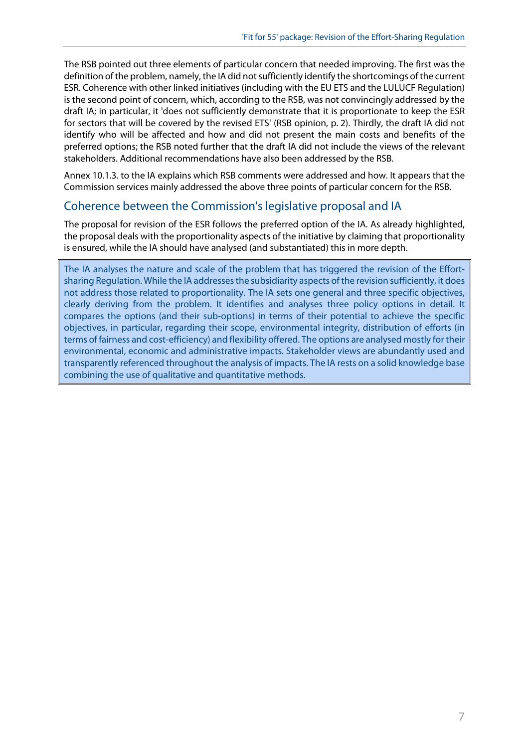The RSB pointed out three elements of particular concern that needed improving. The first was the definition of the problem, namely, the IA did not sufficiently identify the shortcomings of the current ESR. Coherence with other linked initiatives (including with the EU ETS and the LULUCF Regulation) is the second point of concern, which, according to the RSB, was not convincingly addressed by the draft IA; in particular, it 'does not sufficiently demonstrate that it is proportionate to keep the ESR for sectors that will be covered by the revised ETS' (RSB opinion, p. 2). Thirdly, the draft IA did not identify who will be affected and how and did not present the main costs and benefits of the preferred options; the RSB noted further that the draft IA did not include the views of the relevant stakeholders. Additional recommendations have also been addressed by the RSB.

Annex 10.1.3. to the IA explains which RSB comments were addressed and how. It appears that the Commission services mainly addressed the above three points of particular concern for the RSB.

## Coherence between the Commission's legislative proposal and IA

The proposal for revision of the ESR follows the preferred option of the IA. As already highlighted, the proposal deals with the proportionality aspects of the initiative by claiming that proportionality is ensured, while the IA should have analysed (and substantiated) this in more depth.

The IA analyses the nature and scale of the problem that has triggered the revision of the Effortsharing Regulation. While the IA addresses the subsidiarity aspects of the revision sufficiently, it does not address those related to proportionality. The IA sets one general and three specific objectives, clearly deriving from the problem. It identifies and analyses three policy options in detail. It compares the options (and their sub-options) in terms of their potential to achieve the specific objectives, in particular, regarding their scope, environmental integrity, distribution of efforts (in terms of fairness and cost-efficiency) and flexibility offered. The options are analysed mostly for their environmental, economic and administrative impacts. Stakeholder views are abundantly used and transparently referenced throughout the analysis of impacts. The IA rests on a solid knowledge base combining the use of qualitative and quantitative methods.